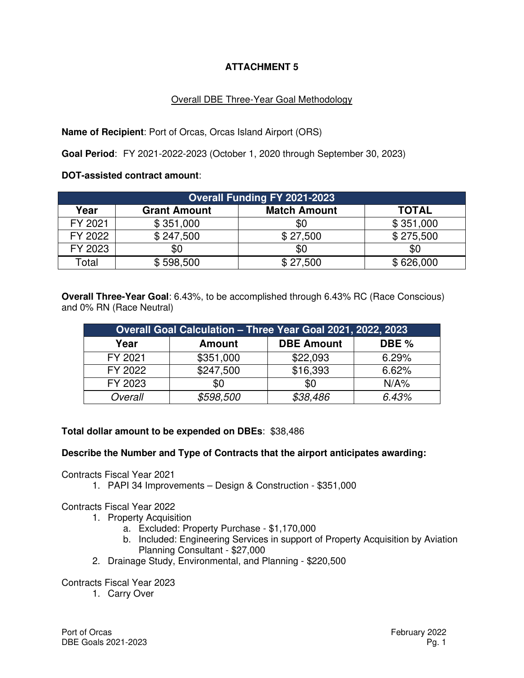# **ATTACHMENT 5**

## Overall DBE Three-Year Goal Methodology

**Name of Recipient**: Port of Orcas, Orcas Island Airport (ORS)

**Goal Period**: FY 2021-2022-2023 (October 1, 2020 through September 30, 2023)

**DOT-assisted contract amount**:

| <b>Overall Funding FY 2021-2023</b> |                     |                     |              |  |  |  |  |  |  |
|-------------------------------------|---------------------|---------------------|--------------|--|--|--|--|--|--|
| Year                                | <b>Grant Amount</b> | <b>Match Amount</b> | <b>TOTAL</b> |  |  |  |  |  |  |
| FY 2021                             | \$351,000           | \$0                 | \$351,000    |  |  |  |  |  |  |
| FY 2022                             | \$247,500           | \$27,500            | \$275,500    |  |  |  |  |  |  |
| FY 2023                             | \$0                 | \$0                 | \$0          |  |  |  |  |  |  |
| Total                               | \$598,500           | \$27,500            | \$626,000    |  |  |  |  |  |  |

**Overall Three-Year Goal**: 6.43%, to be accomplished through 6.43% RC (Race Conscious) and 0% RN (Race Neutral)

| Overall Goal Calculation - Three Year Goal 2021, 2022, 2023 |               |                   |         |  |  |  |  |  |  |  |
|-------------------------------------------------------------|---------------|-------------------|---------|--|--|--|--|--|--|--|
| Year                                                        | <b>Amount</b> | <b>DBE Amount</b> | DBE %   |  |  |  |  |  |  |  |
| FY 2021                                                     | \$351,000     | \$22,093          | 6.29%   |  |  |  |  |  |  |  |
| FY 2022                                                     | \$247,500     | \$16,393          | 6.62%   |  |  |  |  |  |  |  |
| FY 2023                                                     | \$0           | \$0               | $N/A\%$ |  |  |  |  |  |  |  |
| Overall                                                     | \$598,500     | \$38,486          | 6.43%   |  |  |  |  |  |  |  |

### **Total dollar amount to be expended on DBEs**: \$38,486

### **Describe the Number and Type of Contracts that the airport anticipates awarding:**

Contracts Fiscal Year 2021

1. PAPI 34 Improvements – Design & Construction - \$351,000

Contracts Fiscal Year 2022

- 1. Property Acquisition
	- a. Excluded: Property Purchase \$1,170,000
	- b. Included: Engineering Services in support of Property Acquisition by Aviation Planning Consultant - \$27,000
- 2. Drainage Study, Environmental, and Planning \$220,500

Contracts Fiscal Year 2023

1. Carry Over

Port of Orcas **February 2022** DBE Goals 2021-2023 Pg. 1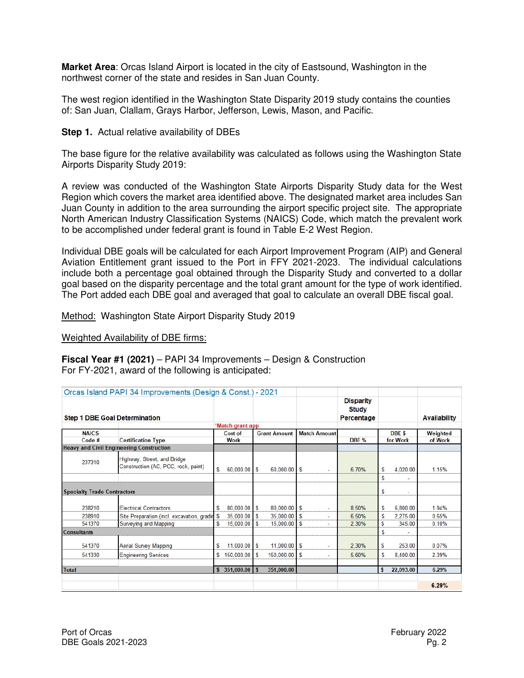**Market Area**: Orcas Island Airport is located in the city of Eastsound, Washington in the northwest corner of the state and resides in San Juan County.

The west region identified in the Washington State Disparity 2019 study contains the counties of: San Juan, Clallam, Grays Harbor, Jefferson, Lewis, Mason, and Pacific.

**Step 1.** Actual relative availability of DBEs

The base figure for the relative availability was calculated as follows using the Washington State Airports Disparity Study 2019:

A review was conducted of the Washington State Airports Disparity Study data for the West Region which covers the market area identified above. The designated market area includes San Juan County in addition to the area surrounding the airport specific project site. The appropriate North American Industry Classification Systems (NAICS) Code, which match the prevalent work to be accomplished under federal grant is found in Table E-2 West Region.

Individual DBE goals will be calculated for each Airport Improvement Program (AIP) and General Aviation Entitlement grant issued to the Port in FFY 2021-2023. The individual calculations include both a percentage goal obtained through the Disparity Study and converted to a dollar goal based on the disparity percentage and the total grant amount for the type of work identified. The Port added each DBE goal and averaged that goal to calculate an overall DBE fiscal goal.

Method: Washington State Airport Disparity Study 2019

Weighted Availability of DBE firms:

**Fiscal Year #1 (2021)** – PAPI 34 Improvements – Design & Construction For FY-2021, award of the following is anticipated:

|                                      | Orcas Island PAPI 34 Improvements (Design & Const.) - 2021         |             |                  |            |                     |  |                          | <b>Disparity</b><br>Study |                               |           |                     |
|--------------------------------------|--------------------------------------------------------------------|-------------|------------------|------------|---------------------|--|--------------------------|---------------------------|-------------------------------|-----------|---------------------|
| <b>Step 1 DBE Goal Determination</b> |                                                                    |             |                  |            |                     |  |                          | Percentage                |                               |           | <b>Availability</b> |
|                                      |                                                                    |             | *Match grant app |            |                     |  |                          |                           |                               |           |                     |
| <b>NAICS</b>                         |                                                                    | Cost of     |                  |            | <b>Grant Amount</b> |  | <b>Match Amount</b>      | DBE %                     | DBE <sub>\$</sub><br>for Work |           | Weighted<br>of Work |
| Code #                               | <b>Certification Type</b>                                          | <b>Work</b> |                  |            |                     |  |                          |                           |                               |           |                     |
|                                      | <b>Heavy and Civil Engineering Construction</b>                    |             |                  |            |                     |  |                          |                           |                               |           |                     |
| 237310                               | Highway, Street, and Bridge<br>Construction (AC, PCC, rock, paint) | \$          | $60,000.00$ \$   |            | $60,000.00$ \$      |  | $\sim$                   | 6.70%                     | S                             | 4,020.00  | 1.15%               |
|                                      |                                                                    |             |                  |            |                     |  |                          |                           | S                             |           |                     |
| <b>Specialty Trade Contractors</b>   |                                                                    |             |                  |            |                     |  |                          |                           | \$                            | ٠         |                     |
| 238210                               | <b>Electrical Contractors</b>                                      | S           | 80,000.00 \$     |            | 80,000.00 \$        |  | ٠                        | 8.50%                     | <b>S</b>                      | 6.800.00  | 1.94%               |
| 238910                               | Site Preparation (incl. excavation, gradin \$                      |             | 35,000.00 \$     |            | 35,000.00 \$        |  | $\overline{\phantom{a}}$ | 6.50%                     | S                             | 2.275.00  | 0.65%               |
| 541370                               | <b>Surveying and Mapping</b>                                       | S           | 15,000.00        | S          | $15,000.00$ \$      |  |                          | 2.30%                     | S                             | 345.00    | 0.10%               |
| <b>Consultants</b>                   |                                                                    |             |                  |            |                     |  |                          |                           | \$                            |           |                     |
| 541370                               | <b>Aerial Survey Mapping</b>                                       | S           | $11,000.00$ \$   |            | $11,000.00$ \$      |  |                          | 2.30%                     | \$                            | 253.00    | 0.07%               |
| 541330                               | <b>Engineering Services</b>                                        | £.          | 150,000.00       | $\sqrt{5}$ | 150,000.00 \$       |  | $\sim$                   | 5.60%                     | S                             | 8,400.00  | 2.39%               |
| <b>Total</b>                         |                                                                    |             | $351,000.00$ \$  |            | 351,000.00          |  |                          |                           | S                             | 22,093.00 | 6.29%               |
|                                      |                                                                    |             |                  |            |                     |  |                          |                           |                               |           | 6.29%               |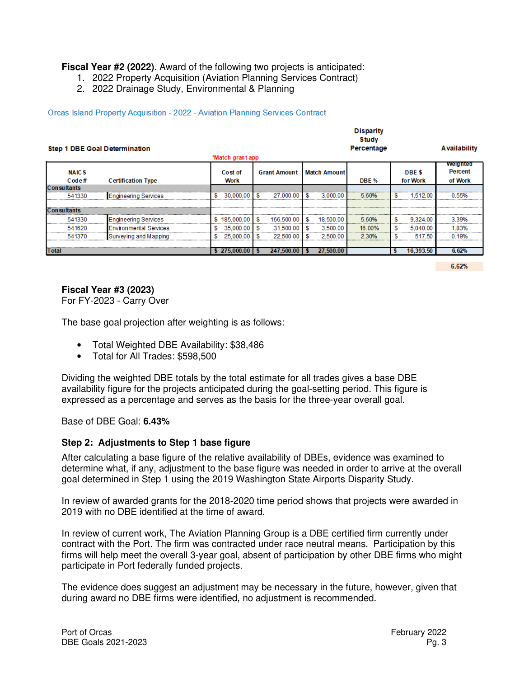**Fiscal Year #2 (2022)**. Award of the following two projects is anticipated:

- 1. 2022 Property Acquisition (Aviation Planning Services Contract)
- 2. 2022 Drainage Study, Environmental & Planning

#### Orcas Island Property Acquisition - 2022 - Aviation Planning Services Contract

|                                      | <b>Disparity</b>              |     |                                        |      |                     |   |           |                     |                     |                                              |       |
|--------------------------------------|-------------------------------|-----|----------------------------------------|------|---------------------|---|-----------|---------------------|---------------------|----------------------------------------------|-------|
| <b>Step 1 DBE Goal Determination</b> |                               |     |                                        |      |                     |   |           | Study<br>Percentage | <b>Availability</b> |                                              |       |
| *Match grant app                     |                               |     |                                        |      |                     |   |           |                     |                     |                                              |       |
| <b>NAICS</b><br>Code#                | <b>Certification Type</b>     |     | <b>Grant Amount</b><br>Cost of<br>Work |      | <b>Match Amount</b> |   | DBE %     | DBE \$<br>for Work  |                     | <b>weighted</b><br><b>Percent</b><br>of Work |       |
| <b>Consultants</b>                   |                               |     |                                        |      |                     |   |           |                     |                     |                                              |       |
| 541330                               | <b>Engineering Services</b>   | \$  | 30,000.00                              | S    | 27.000.00 \$        |   | 3.000.00  | 5.60%               | S                   | 1,512.00                                     | 0.55% |
| <b>Consultants</b>                   |                               |     |                                        |      |                     |   |           |                     |                     |                                              |       |
| 541330                               | <b>Engineering Services</b>   |     | \$185,000.00                           | S    | 166,500.00          | S | 18,500.00 | 5.60%               | \$                  | 9,324.00                                     | 3.39% |
| 541620                               | <b>Environmental Services</b> | £.  | 35,000.00                              | S    | 31.500.00           | S | 3.500.00  | 16.00%              | \$                  | 5.040.00                                     | 1.83% |
| 541370                               | Surveying and Mapping         | \$. | 25,000.00                              | S    | 22,500.00           | S | 2,500.00  | 2.30%               | S                   | 517.50                                       | 0.19% |
|                                      |                               |     |                                        |      |                     |   |           |                     |                     |                                              |       |
| <b>Total</b>                         |                               |     | \$275,000.00                           | - 56 | 247,500.00          |   | 27,500.00 |                     | ъ                   | 16,393.50                                    | 6.62% |

 $6.62%$ 

#### **Fiscal Year #3 (2023)**

For FY-2023 - Carry Over

The base goal projection after weighting is as follows:

- Total Weighted DBE Availability: \$38,486
- Total for All Trades: \$598,500

Dividing the weighted DBE totals by the total estimate for all trades gives a base DBE availability figure for the projects anticipated during the goal-setting period. This figure is expressed as a percentage and serves as the basis for the three-year overall goal.

Base of DBE Goal: **6.43%**

#### **Step 2: Adjustments to Step 1 base figure**

After calculating a base figure of the relative availability of DBEs, evidence was examined to determine what, if any, adjustment to the base figure was needed in order to arrive at the overall goal determined in Step 1 using the 2019 Washington State Airports Disparity Study.

In review of awarded grants for the 2018-2020 time period shows that projects were awarded in 2019 with no DBE identified at the time of award.

In review of current work, The Aviation Planning Group is a DBE certified firm currently under contract with the Port. The firm was contracted under race neutral means. Participation by this firms will help meet the overall 3-year goal, absent of participation by other DBE firms who might participate in Port federally funded projects.

The evidence does suggest an adjustment may be necessary in the future, however, given that during award no DBE firms were identified, no adjustment is recommended.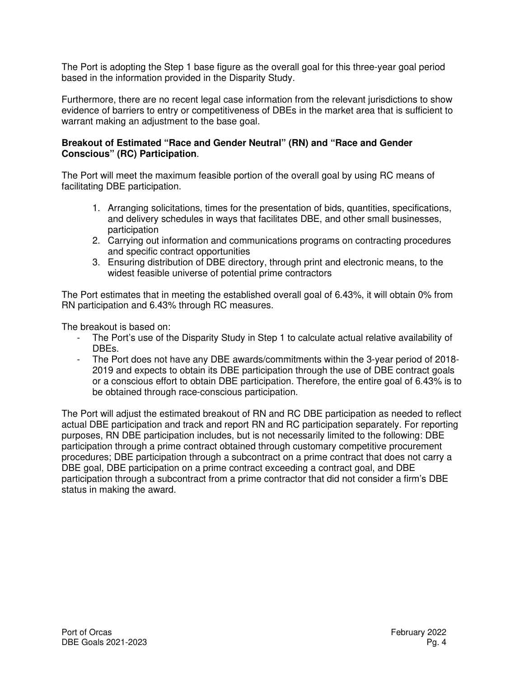The Port is adopting the Step 1 base figure as the overall goal for this three-year goal period based in the information provided in the Disparity Study.

Furthermore, there are no recent legal case information from the relevant jurisdictions to show evidence of barriers to entry or competitiveness of DBEs in the market area that is sufficient to warrant making an adjustment to the base goal.

## **Breakout of Estimated "Race and Gender Neutral" (RN) and "Race and Gender Conscious" (RC) Participation**.

The Port will meet the maximum feasible portion of the overall goal by using RC means of facilitating DBE participation.

- 1. Arranging solicitations, times for the presentation of bids, quantities, specifications, and delivery schedules in ways that facilitates DBE, and other small businesses, participation
- 2. Carrying out information and communications programs on contracting procedures and specific contract opportunities
- 3. Ensuring distribution of DBE directory, through print and electronic means, to the widest feasible universe of potential prime contractors

The Port estimates that in meeting the established overall goal of 6.43%, it will obtain 0% from RN participation and 6.43% through RC measures.

The breakout is based on:

- The Port's use of the Disparity Study in Step 1 to calculate actual relative availability of DBEs.
- The Port does not have any DBE awards/commitments within the 3-year period of 2018- 2019 and expects to obtain its DBE participation through the use of DBE contract goals or a conscious effort to obtain DBE participation. Therefore, the entire goal of 6.43% is to be obtained through race-conscious participation.

The Port will adjust the estimated breakout of RN and RC DBE participation as needed to reflect actual DBE participation and track and report RN and RC participation separately. For reporting purposes, RN DBE participation includes, but is not necessarily limited to the following: DBE participation through a prime contract obtained through customary competitive procurement procedures; DBE participation through a subcontract on a prime contract that does not carry a DBE goal, DBE participation on a prime contract exceeding a contract goal, and DBE participation through a subcontract from a prime contractor that did not consider a firm's DBE status in making the award.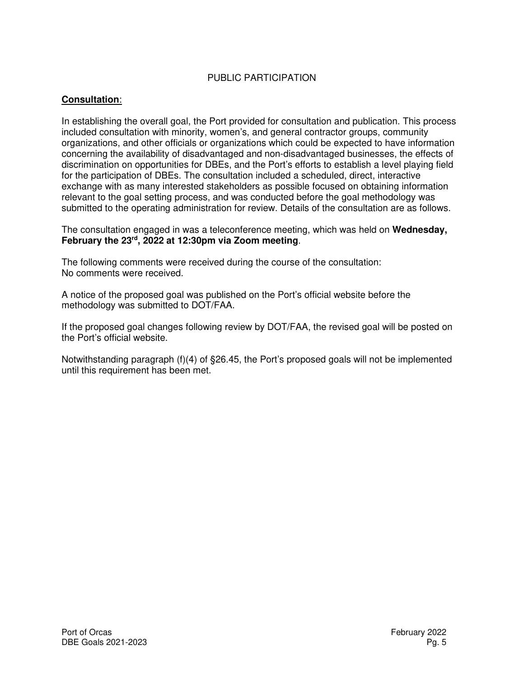# PUBLIC PARTICIPATION

## **Consultation**:

In establishing the overall goal, the Port provided for consultation and publication. This process included consultation with minority, women's, and general contractor groups, community organizations, and other officials or organizations which could be expected to have information concerning the availability of disadvantaged and non-disadvantaged businesses, the effects of discrimination on opportunities for DBEs, and the Port's efforts to establish a level playing field for the participation of DBEs. The consultation included a scheduled, direct, interactive exchange with as many interested stakeholders as possible focused on obtaining information relevant to the goal setting process, and was conducted before the goal methodology was submitted to the operating administration for review. Details of the consultation are as follows.

The consultation engaged in was a teleconference meeting, which was held on **Wednesday, February the 23rd, 2022 at 12:30pm via Zoom meeting**.

The following comments were received during the course of the consultation: No comments were received.

A notice of the proposed goal was published on the Port's official website before the methodology was submitted to DOT/FAA.

If the proposed goal changes following review by DOT/FAA, the revised goal will be posted on the Port's official website.

Notwithstanding paragraph (f)(4) of §26.45, the Port's proposed goals will not be implemented until this requirement has been met.